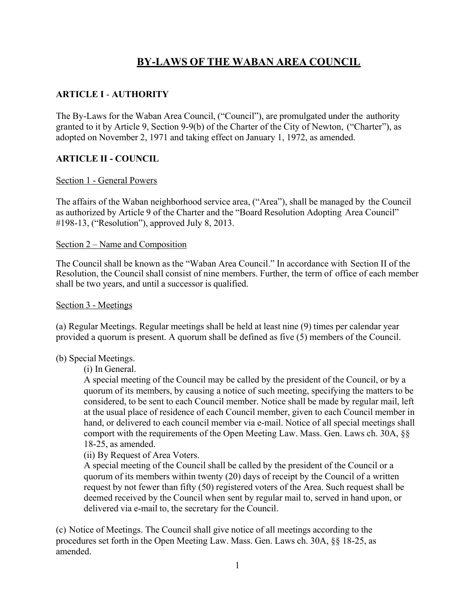# **BY-LAWS OF THE WABAN AREA COUNCIL**

# **ARTICLE I** - **AUTHORITY**

The By-Laws for the Waban Area Council, ("Council"), are promulgated under the authority granted to it by Article 9, Section 9-9(b) of the Charter of the City of Newton, ("Charter"), as adopted on November 2, 1971 and taking effect on January 1, 1972, as amended.

## **ARTICLE II - COUNCIL**

#### Section 1 - General Powers

The affairs of the Waban neighborhood service area, ("Area"), shall be managed by the Council as authorized by Article 9 of the Charter and the "Board Resolution Adopting Area Council" #198-13, ("Resolution"), approved July 8, 2013.

#### Section 2 – Name and Composition

The Council shall be known as the "Waban Area Council." In accordance with Section II of the Resolution, the Council shall consist of nine members. Further, the term of office of each member shall be two years, and until a successor is qualified.

#### Section 3 - Meetings

(a) Regular Meetings. Regular meetings shall be held at least nine (9) times per calendar year provided a quorum is present. A quorum shall be defined as five (5) members of the Council.

#### (b) Special Meetings.

(i) In General.

A special meeting of the Council may be called by the president of the Council, or by a quorum of its members, by causing a notice of such meeting, specifying the matters to be considered, to be sent to each Council member. Notice shall be made by regular mail, left at the usual place of residence of each Council member, given to each Council member in hand, or delivered to each council member via e-mail. Notice of all special meetings shall comport with the requirements of the Open Meeting Law. Mass. Gen. Laws ch. 30A, §§ 18-25, as amended.

(ii) By Request of Area Voters.

A special meeting of the Council shall be called by the president of the Council or a quorum of its members within twenty (20) days of receipt by the Council of a written request by not fewer than fifty (50) registered voters of the Area. Such request shall be deemed received by the Council when sent by regular mail to, served in hand upon, or delivered via e-mail to, the secretary for the Council.

(c) Notice of Meetings. The Council shall give notice of all meetings according to the procedures set forth in the Open Meeting Law. Mass. Gen. Laws ch. 30A, §§ 18-25, as amended.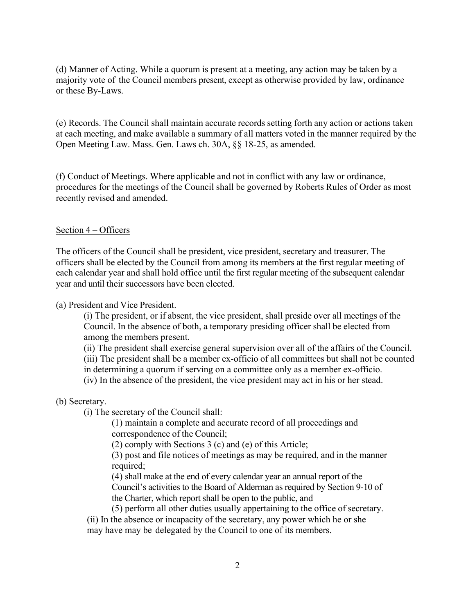(d) Manner of Acting. While a quorum is present at a meeting, any action may be taken by a majority vote of the Council members present, except as otherwise provided by law, ordinance or these By-Laws.

(e) Records. The Council shall maintain accurate records setting forth any action or actions taken at each meeting, and make available a summary of all matters voted in the manner required by the Open Meeting Law. Mass. Gen. Laws ch. 30A, §§ 18-25, as amended.

(f) Conduct of Meetings. Where applicable and not in conflict with any law or ordinance, procedures for the meetings of the Council shall be governed by Roberts Rules of Order as most recently revised and amended.

## Section 4 – Officers

The officers of the Council shall be president, vice president, secretary and treasurer. The officers shall be elected by the Council from among its members at the first regular meeting of each calendar year and shall hold office until the first regular meeting of the subsequent calendar year and until their successors have been elected.

(a) President and Vice President.

(i) The president, or if absent, the vice president, shall preside over all meetings of the Council. In the absence of both, a temporary presiding officer shall be elected from among the members present.

(ii) The president shall exercise general supervision over all of the affairs of the Council.

(iii) The president shall be a member ex-officio of all committees but shall not be counted

in determining a quorum if serving on a committee only as a member ex-officio.

(iv) In the absence of the president, the vice president may act in his or her stead.

#### (b) Secretary.

(i) The secretary of the Council shall:

(1) maintain a complete and accurate record of all proceedings and correspondence of the Council;

(2) comply with Sections 3 (c) and (e) of this Article;

(3) post and file notices of meetings as may be required, and in the manner required;

(4) shall make at the end of every calendar year an annual report of the Council's activities to the Board of Alderman as required by Section 9-10 of the Charter, which report shall be open to the public, and

(5) perform all other duties usually appertaining to the office of secretary.

(ii) In the absence or incapacity of the secretary, any power which he or she may have may be delegated by the Council to one of its members.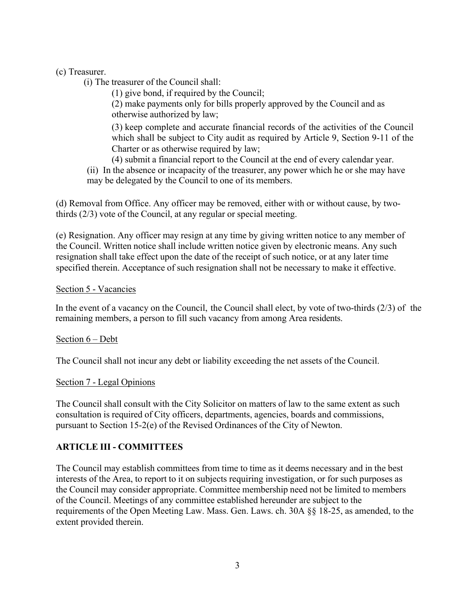(c) Treasurer.

(i) The treasurer of the Council shall:

(1) give bond, if required by the Council;

(2) make payments only for bills properly approved by the Council and as otherwise authorized by law;

(3) keep complete and accurate financial records of the activities of the Council which shall be subject to City audit as required by Article 9, Section 9-11 of the Charter or as otherwise required by law;

(4) submit a financial report to the Council at the end of every calendar year.

(ii) In the absence or incapacity of the treasurer, any power which he or she may have may be delegated by the Council to one of its members.

(d) Removal from Office. Any officer may be removed, either with or without cause, by twothirds (2/3) vote of the Council, at any regular or special meeting.

(e) Resignation. Any officer may resign at any time by giving written notice to any member of the Council. Written notice shall include written notice given by electronic means. Any such resignation shall take effect upon the date of the receipt of such notice, or at any later time specified therein. Acceptance of such resignation shall not be necessary to make it effective.

## Section 5 - Vacancies

In the event of a vacancy on the Council, the Council shall elect, by vote of two-thirds (2/3) of the remaining members, a person to fill such vacancy from among Area residents.

# Section 6 – Debt

The Council shall not incur any debt or liability exceeding the net assets of the Council.

#### Section 7 - Legal Opinions

The Council shall consult with the City Solicitor on matters of law to the same extent as such consultation is required of City officers, departments, agencies, boards and commissions, pursuant to Section 15-2(e) of the Revised Ordinances of the City of Newton.

# **ARTICLE III - COMMITTEES**

The Council may establish committees from time to time as it deems necessary and in the best interests of the Area, to report to it on subjects requiring investigation, or for such purposes as the Council may consider appropriate. Committee membership need not be limited to members of the Council. Meetings of any committee established hereunder are subject to the requirements of the Open Meeting Law. Mass. Gen. Laws. ch. 30A §§ 18-25, as amended, to the extent provided therein.